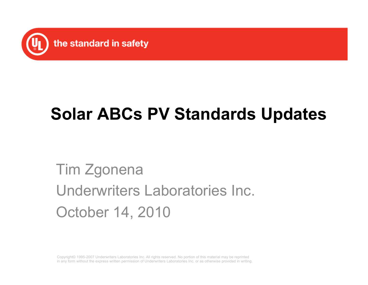

#### **Solar ABCs PV Standards Updates**

#### Tim Zgonena Underwriters Laboratories Inc. October 14, 2010

Copyright© 1995-2007 Underwriters Laboratories Inc. All rights reserved. No portion of this material may be reprinted in any form without the express written permission of Underwriters Laboratories Inc. or as otherwise provided in writing.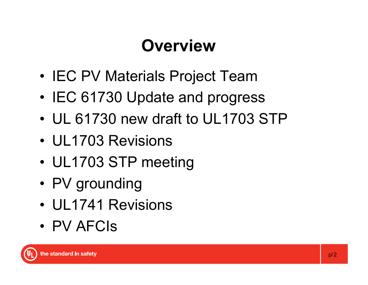### **Overview**

- IEC PV Materials Project Team
- IEC 61730 Update and progress
- UL 61730 new draft to UL1703 STP
- UL1703 Revisions
- UL1703 STP meeting
- PV grounding
- UL1741 Revisions
- PV AFCIs

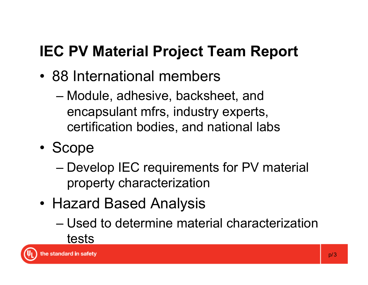#### **IEC PV Material Project Team Report**

- 88 International members
	- Module, adhesive, backsheet, and encapsulant mfrs, industry experts, certification bodies, and national labs
- Scope
	- Develop IEC requirements for PV material property characterization
- Hazard Based Analysis
	- Used to determine material characterization tests

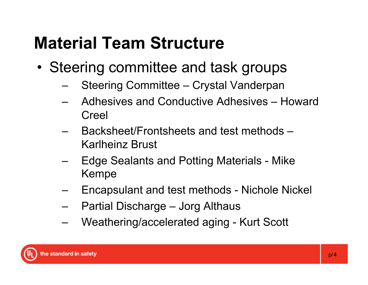### **Material Team Structure**

- Steering committee and task groups
	- Steering Committee Crystal Vanderpan
	- Adhesives and Conductive Adhesives Howard Creel
	- Backsheet/Frontsheets and test methods Karlheinz Brust
	- Edge Sealants and Potting Materials Mike Kempe
	- Encapsulant and test methods Nichole Nickel
	- Partial Discharge Jorg Althaus
	- Weathering/accelerated aging Kurt Scott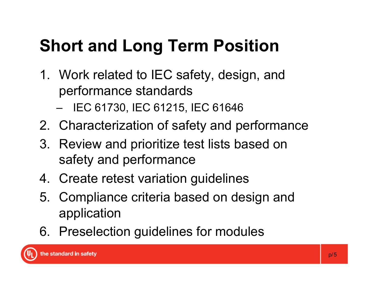### **Short and Long Term Position**

- 1. Work related to IEC safety, design, and performance standards
	- IEC 61730, IEC 61215, IEC 61646
- 2. Characterization of safety and performance
- 3. Review and prioritize test lists based on safety and performance
- 4. Create retest variation guidelines
- 5. Compliance criteria based on design and application
- 6. Preselection guidelines for modules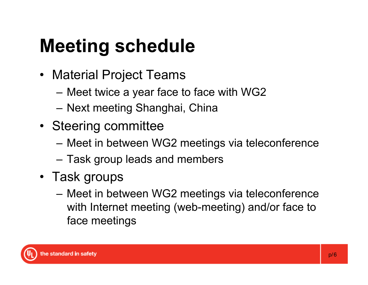# **Meeting schedule**

- Material Project Teams
	- Meet twice a year face to face with WG2
	- Next meeting Shanghai, China
- Steering committee
	- Meet in between WG2 meetings via teleconference
	- Task group leads and members
- Task groups
	- Meet in between WG2 meetings via teleconference with Internet meeting (web-meeting) and/or face to face meetings

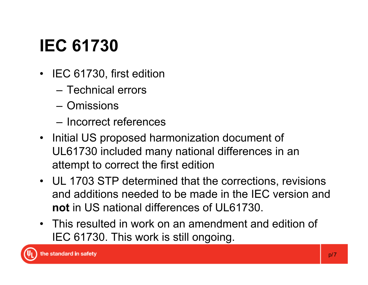## **IEC 61730**

- IEC 61730, first edition
	- Technical errors
	- Omissions
	- Incorrect references
- Initial US proposed harmonization document of UL61730 included many national differences in an attempt to correct the first edition
- UL 1703 STP determined that the corrections, revisions and additions needed to be made in the IEC version and **not** in US national differences of UL61730.
- This resulted in work on an amendment and edition of IEC 61730. This work is still ongoing.

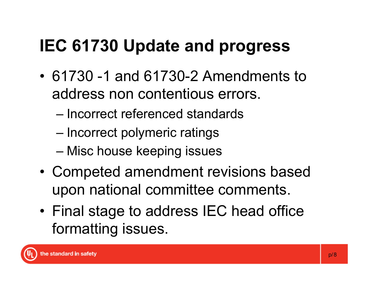#### **IEC 61730 Update and progress**

- 61730 -1 and 61730-2 Amendments to address non contentious errors.
	- Incorrect referenced standards
	- Incorrect polymeric ratings
	- Misc house keeping issues
- Competed amendment revisions based upon national committee comments.
- Final stage to address IEC head office formatting issues.

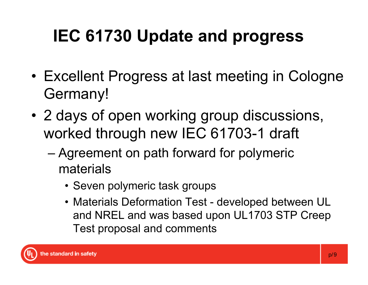## **IEC 61730 Update and progress**

- Excellent Progress at last meeting in Cologne Germany!
- 2 days of open working group discussions, worked through new IEC 61703-1 draft
	- Agreement on path forward for polymeric materials
		- Seven polymeric task groups
		- Materials Deformation Test developed between UL and NREL and was based upon UL1703 STP Creep Test proposal and comments

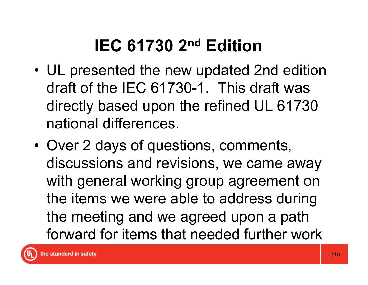### **IEC 61730 2nd Edition**

- UL presented the new updated 2nd edition draft of the IEC 61730-1. This draft was directly based upon the refined UL 61730 national differences.
- Over 2 days of questions, comments, discussions and revisions, we came away with general working group agreement on the items we were able to address during the meeting and we agreed upon a path forward for items that needed further work

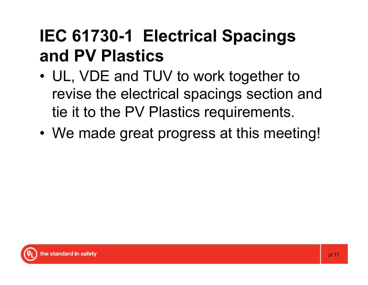#### **IEC 61730-1 Electrical Spacings and PV Plastics**

- UL, VDE and TUV to work together to revise the electrical spacings section and tie it to the PV Plastics requirements.
- We made great progress at this meeting!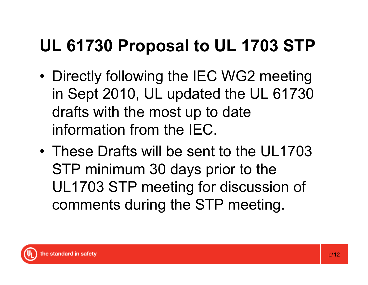#### **UL 61730 Proposal to UL 1703 STP**

- Directly following the IEC WG2 meeting in Sept 2010, UL updated the UL 61730 drafts with the most up to date information from the IEC.
- These Drafts will be sent to the UL1703 STP minimum 30 days prior to the UL1703 STP meeting for discussion of comments during the STP meeting.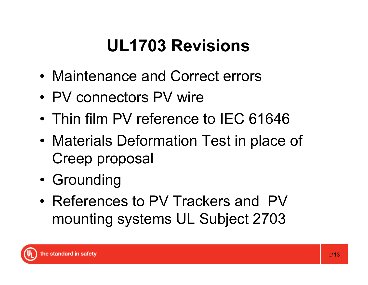#### **UL1703 Revisions**

- Maintenance and Correct errors
- PV connectors PV wire
- Thin film PV reference to IEC 61646
- Materials Deformation Test in place of Creep proposal
- Grounding
- References to PV Trackers and PV mounting systems UL Subject 2703

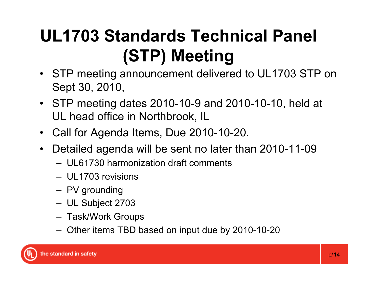### **UL1703 Standards Technical Panel (STP) Meeting**

- STP meeting announcement delivered to UL1703 STP on Sept 30, 2010,
- STP meeting dates 2010-10-9 and 2010-10-10, held at UL head office in Northbrook, IL
- Call for Agenda Items, Due 2010-10-20.
- Detailed agenda will be sent no later than 2010-11-09
	- UL61730 harmonization draft comments
	- UL1703 revisions
	- PV grounding
	- UL Subject 2703
	- Task/Work Groups
	- Other items TBD based on input due by 2010-10-20

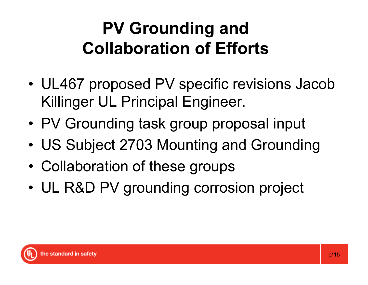### **PV Grounding and Collaboration of Efforts**

- UL467 proposed PV specific revisions Jacob Killinger UL Principal Engineer.
- PV Grounding task group proposal input
- US Subject 2703 Mounting and Grounding
- Collaboration of these groups
- UL R&D PV grounding corrosion project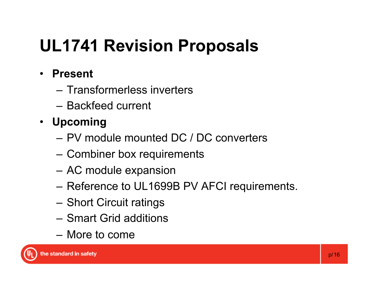#### **UL1741 Revision Proposals**

- **Present** 
	- Transformerless inverters
	- Backfeed current
- **Upcoming** 
	- PV module mounted DC / DC converters
	- Combiner box requirements
	- AC module expansion
	- Reference to UL1699B PV AFCI requirements.
	- Short Circuit ratings
	- Smart Grid additions
	- More to come

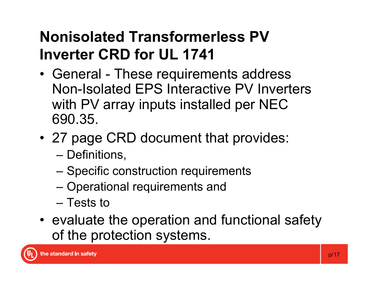#### **Nonisolated Transformerless PV Inverter CRD for UL 1741**

- General These requirements address Non-Isolated EPS Interactive PV Inverters with PV array inputs installed per NEC 690.35.
- 27 page CRD document that provides:
	- Definitions,
	- Specific construction requirements
	- Operational requirements and
	- Tests to
- evaluate the operation and functional safety of the protection systems.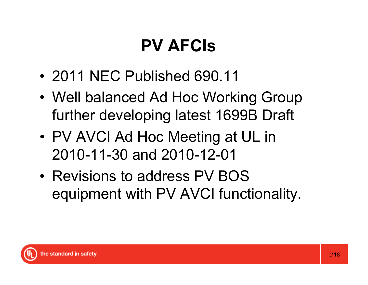### **PV AFCIs**

- 2011 NEC Published 690.11
- Well balanced Ad Hoc Working Group further developing latest 1699B Draft
- PV AVCI Ad Hoc Meeting at UL in 2010-11-30 and 2010-12-01
- Revisions to address PV BOS equipment with PV AVCI functionality.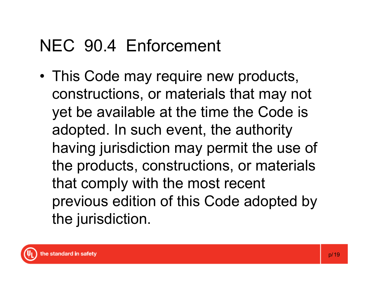#### NEC 90.4 Enforcement

• This Code may require new products, constructions, or materials that may not yet be available at the time the Code is adopted. In such event, the authority having jurisdiction may permit the use of the products, constructions, or materials that comply with the most recent previous edition of this Code adopted by the jurisdiction.